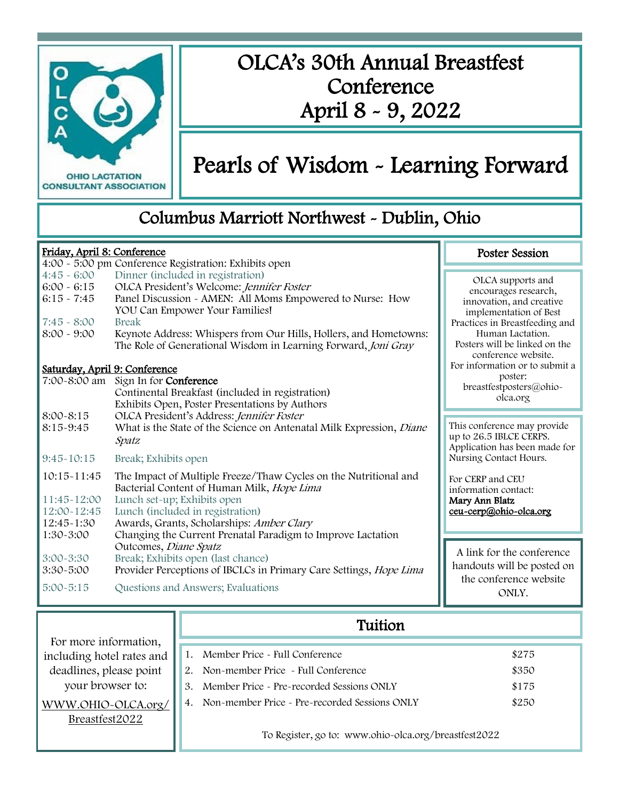

# OLCA's 30th Annual Breastfest **Conference** April 8 - 9, 2022

# Pearls of Wisdom - Learning Forward

Poster Session

## Columbus Marriott Northwest - Dublin, Ohio

#### Friday, April 8: Conference

| $4:45 - 6:00$<br>$6:00 - 6:15$<br>$6:15 - 7:45$<br>$7:45 - 8:00$<br>$8:00 - 9:00$ | 4:00 - 5:00 pm Conference Registration: Exhibits open<br>Dinner (included in registration)<br>OLCA President's Welcome: Jennifer Foster<br>Panel Discussion - AMEN: All Moms Empowered to Nurse: How<br>YOU Can Empower Your Families!<br>Break<br>Keynote Address: Whispers from Our Hills, Hollers, and Hometowns:<br>The Role of Generational Wisdom in Learning Forward, Joni Gray | OLCA supports and<br>encourages research,<br>innovation, and creative<br>implementation of Best<br>Practices in Breastfeeding and<br>Human Lactation.<br>Posters will be linked on the |
|-----------------------------------------------------------------------------------|----------------------------------------------------------------------------------------------------------------------------------------------------------------------------------------------------------------------------------------------------------------------------------------------------------------------------------------------------------------------------------------|----------------------------------------------------------------------------------------------------------------------------------------------------------------------------------------|
| Saturday, April 9: Conference                                                     |                                                                                                                                                                                                                                                                                                                                                                                        | conference website.<br>For information or to submit a                                                                                                                                  |
|                                                                                   | 7:00-8:00 am Sign In for Conference<br>Continental Breakfast (included in registration)<br>Exhibits Open, Poster Presentations by Authors                                                                                                                                                                                                                                              | poster:<br>breastfestposters@ohio-<br>olca.org                                                                                                                                         |
| $8:00 - 8:15$                                                                     | OLCA President's Address: Jennifer Foster                                                                                                                                                                                                                                                                                                                                              |                                                                                                                                                                                        |
| 8:15-9:45                                                                         | What is the State of the Science on Antenatal Milk Expression, Diane<br>Spatz                                                                                                                                                                                                                                                                                                          | This conference may provide<br>up to 26.5 IBLCE CERPS.<br>Application has been made for                                                                                                |
| $9:45-10:15$                                                                      | Break; Exhibits open                                                                                                                                                                                                                                                                                                                                                                   | Nursing Contact Hours.                                                                                                                                                                 |
| 10:15-11:45<br>11:45~12:00<br>12:00~12:45<br>12:45~1:30<br>1:30-3:00              | The Impact of Multiple Freeze/Thaw Cycles on the Nutritional and<br>Bacterial Content of Human Milk, Hope Lima<br>Lunch set-up; Exhibits open<br>Lunch (included in registration)<br>Awards, Grants, Scholarships: Amber Clary<br>Changing the Current Prenatal Paradigm to Improve Lactation                                                                                          | For CERP and CEU<br>information contact:<br>Mary Ann Blatz<br>ceu-cerp@ohio-olca.org                                                                                                   |
|                                                                                   |                                                                                                                                                                                                                                                                                                                                                                                        |                                                                                                                                                                                        |
| $3:00 - 3:30$<br>$3:30 - 5:00$                                                    | Outcomes, Diane Spatz<br>Break; Exhibits open (last chance)<br>Provider Perceptions of IBCLCs in Primary Care Settings, Hope Lima                                                                                                                                                                                                                                                      | A link for the conference<br>handouts will be posted on                                                                                                                                |
| $5:00 - 5:15$                                                                     | Questions and Answers; Evaluations                                                                                                                                                                                                                                                                                                                                                     | the conference website<br>ONLY.                                                                                                                                                        |

|                           | Tuition                                              |                                               |       |
|---------------------------|------------------------------------------------------|-----------------------------------------------|-------|
| For more information,     |                                                      |                                               |       |
| including hotel rates and |                                                      | Member Price - Full Conference                | \$275 |
| deadlines, please point   |                                                      | Non-member Price - Full Conference            | \$350 |
| your browser to:          | 3.                                                   | Member Price - Pre-recorded Sessions ONLY     | \$175 |
| WWW.OHIO~OLCA.org/        |                                                      | Non-member Price - Pre-recorded Sessions ONLY | \$250 |
| Breastfest2022            |                                                      |                                               |       |
|                           | To Register, go to: www.ohio-olca.org/breastfest2022 |                                               |       |